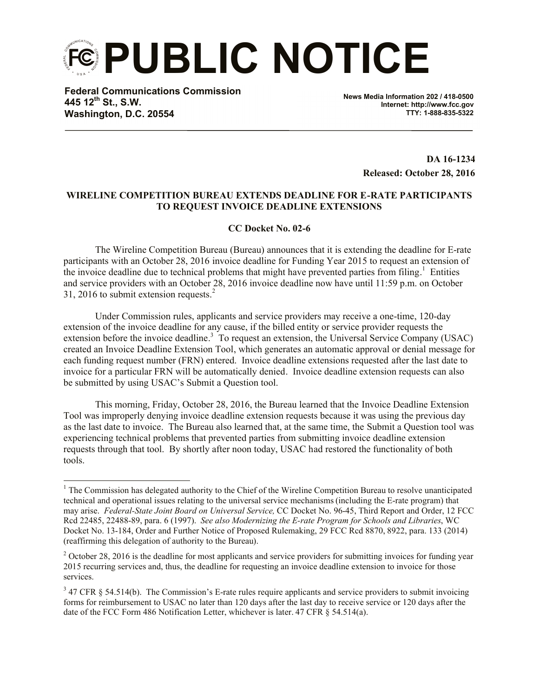**PUBLIC NOTICE**

**Federal Communications Commission 445 12th St., S.W. Washington, D.C. 20554**

 $\overline{a}$ 

**News Media Information 202 / 418-0500 Internet: http://www.fcc.gov TTY: 1-888-835-5322**

> **DA 16-1234 Released: October 28, 2016**

## **WIRELINE COMPETITION BUREAU EXTENDS DEADLINE FOR E-RATE PARTICIPANTS TO REQUEST INVOICE DEADLINE EXTENSIONS**

## **CC Docket No. 02-6**

The Wireline Competition Bureau (Bureau) announces that it is extending the deadline for E-rate participants with an October 28, 2016 invoice deadline for Funding Year 2015 to request an extension of the invoice deadline due to technical problems that might have prevented parties from filing.<sup>1</sup> Entities and service providers with an October 28, 2016 invoice deadline now have until 11:59 p.m. on October 31, 2016 to submit extension requests.<sup>2</sup>

Under Commission rules, applicants and service providers may receive a one-time, 120-day extension of the invoice deadline for any cause, if the billed entity or service provider requests the extension before the invoice deadline.<sup>3</sup> To request an extension, the Universal Service Company (USAC) created an Invoice Deadline Extension Tool, which generates an automatic approval or denial message for each funding request number (FRN) entered. Invoice deadline extensions requested after the last date to invoice for a particular FRN will be automatically denied. Invoice deadline extension requests can also be submitted by using USAC's Submit a Question tool.

This morning, Friday, October 28, 2016, the Bureau learned that the Invoice Deadline Extension Tool was improperly denying invoice deadline extension requests because it was using the previous day as the last date to invoice. The Bureau also learned that, at the same time, the Submit a Question tool was experiencing technical problems that prevented parties from submitting invoice deadline extension requests through that tool. By shortly after noon today, USAC had restored the functionality of both tools.

 $1$  The Commission has delegated authority to the Chief of the Wireline Competition Bureau to resolve unanticipated technical and operational issues relating to the universal service mechanisms (including the E-rate program) that may arise. *Federal-State Joint Board on Universal Service,* CC Docket No. 96-45, Third Report and Order, 12 FCC Rcd 22485, 22488-89, para. 6 (1997). *See also Modernizing the E-rate Program for Schools and Libraries*, WC Docket No. 13-184, Order and Further Notice of Proposed Rulemaking, 29 FCC Rcd 8870, 8922, para. 133 (2014) (reaffirming this delegation of authority to the Bureau).

 $2$  October 28, 2016 is the deadline for most applicants and service providers for submitting invoices for funding year 2015 recurring services and, thus, the deadline for requesting an invoice deadline extension to invoice for those services.

 $3$  47 CFR § 54.514(b). The Commission's E-rate rules require applicants and service providers to submit invoicing forms for reimbursement to USAC no later than 120 days after the last day to receive service or 120 days after the date of the FCC Form 486 Notification Letter, whichever is later. 47 CFR § 54.514(a).